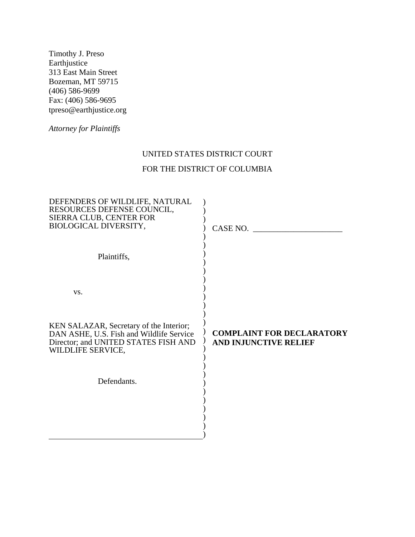Timothy J. Preso **Earthjustice** 313 East Main Street Bozeman, MT 59715 (406) 586-9699 Fax: (406) 586-9695 tpreso@earthjustice.org

*Attorney for Plaintiffs* 

# UNITED STATES DISTRICT COURT

# FOR THE DISTRICT OF COLUMBIA

| DEFENDERS OF WILDLIFE, NATURAL<br>RESOURCES DEFENSE COUNCIL,<br>SIERRA CLUB, CENTER FOR<br>BIOLOGICAL DIVERSITY,                                 | CASE NO.                                                         |
|--------------------------------------------------------------------------------------------------------------------------------------------------|------------------------------------------------------------------|
| Plaintiffs,                                                                                                                                      |                                                                  |
| VS.                                                                                                                                              |                                                                  |
| KEN SALAZAR, Secretary of the Interior;<br>DAN ASHE, U.S. Fish and Wildlife Service<br>Director; and UNITED STATES FISH AND<br>WILDLIFE SERVICE, | <b>COMPLAINT FOR DECLARATORY</b><br><b>AND INJUNCTIVE RELIEF</b> |
| Defendants.                                                                                                                                      |                                                                  |
|                                                                                                                                                  |                                                                  |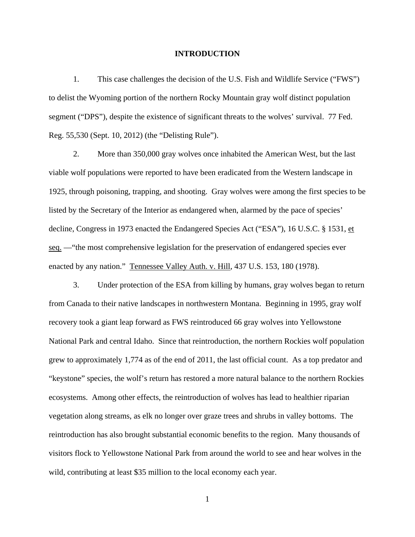#### **INTRODUCTION**

1. This case challenges the decision of the U.S. Fish and Wildlife Service ("FWS") to delist the Wyoming portion of the northern Rocky Mountain gray wolf distinct population segment ("DPS"), despite the existence of significant threats to the wolves' survival. 77 Fed. Reg. 55,530 (Sept. 10, 2012) (the "Delisting Rule").

2. More than 350,000 gray wolves once inhabited the American West, but the last viable wolf populations were reported to have been eradicated from the Western landscape in 1925, through poisoning, trapping, and shooting. Gray wolves were among the first species to be listed by the Secretary of the Interior as endangered when, alarmed by the pace of species' decline, Congress in 1973 enacted the Endangered Species Act ("ESA"), 16 U.S.C. § 1531, et seq. —"the most comprehensive legislation for the preservation of endangered species ever enacted by any nation." Tennessee Valley Auth. v. Hill, 437 U.S. 153, 180 (1978).

3. Under protection of the ESA from killing by humans, gray wolves began to return from Canada to their native landscapes in northwestern Montana. Beginning in 1995, gray wolf recovery took a giant leap forward as FWS reintroduced 66 gray wolves into Yellowstone National Park and central Idaho. Since that reintroduction, the northern Rockies wolf population grew to approximately 1,774 as of the end of 2011, the last official count. As a top predator and "keystone" species, the wolf's return has restored a more natural balance to the northern Rockies ecosystems. Among other effects, the reintroduction of wolves has lead to healthier riparian vegetation along streams, as elk no longer over graze trees and shrubs in valley bottoms. The reintroduction has also brought substantial economic benefits to the region. Many thousands of visitors flock to Yellowstone National Park from around the world to see and hear wolves in the wild, contributing at least \$35 million to the local economy each year.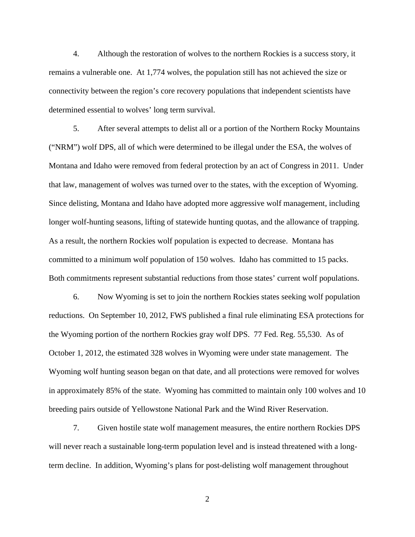4. Although the restoration of wolves to the northern Rockies is a success story, it remains a vulnerable one. At 1,774 wolves, the population still has not achieved the size or connectivity between the region's core recovery populations that independent scientists have determined essential to wolves' long term survival.

5. After several attempts to delist all or a portion of the Northern Rocky Mountains ("NRM") wolf DPS, all of which were determined to be illegal under the ESA, the wolves of Montana and Idaho were removed from federal protection by an act of Congress in 2011. Under that law, management of wolves was turned over to the states, with the exception of Wyoming. Since delisting, Montana and Idaho have adopted more aggressive wolf management, including longer wolf-hunting seasons, lifting of statewide hunting quotas, and the allowance of trapping. As a result, the northern Rockies wolf population is expected to decrease. Montana has committed to a minimum wolf population of 150 wolves. Idaho has committed to 15 packs. Both commitments represent substantial reductions from those states' current wolf populations.

6. Now Wyoming is set to join the northern Rockies states seeking wolf population reductions. On September 10, 2012, FWS published a final rule eliminating ESA protections for the Wyoming portion of the northern Rockies gray wolf DPS. 77 Fed. Reg. 55,530. As of October 1, 2012, the estimated 328 wolves in Wyoming were under state management. The Wyoming wolf hunting season began on that date, and all protections were removed for wolves in approximately 85% of the state. Wyoming has committed to maintain only 100 wolves and 10 breeding pairs outside of Yellowstone National Park and the Wind River Reservation.

7. Given hostile state wolf management measures, the entire northern Rockies DPS will never reach a sustainable long-term population level and is instead threatened with a longterm decline. In addition, Wyoming's plans for post-delisting wolf management throughout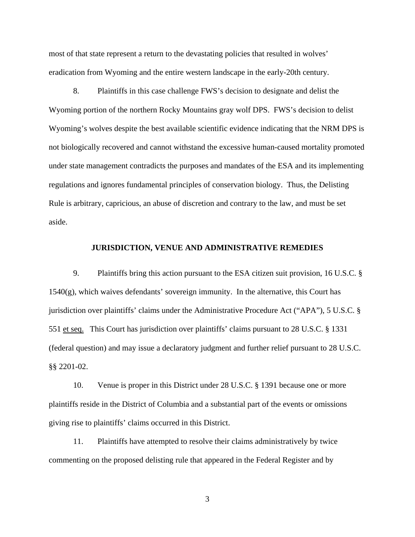most of that state represent a return to the devastating policies that resulted in wolves' eradication from Wyoming and the entire western landscape in the early-20th century.

8. Plaintiffs in this case challenge FWS's decision to designate and delist the Wyoming portion of the northern Rocky Mountains gray wolf DPS. FWS's decision to delist Wyoming's wolves despite the best available scientific evidence indicating that the NRM DPS is not biologically recovered and cannot withstand the excessive human-caused mortality promoted under state management contradicts the purposes and mandates of the ESA and its implementing regulations and ignores fundamental principles of conservation biology. Thus, the Delisting Rule is arbitrary, capricious, an abuse of discretion and contrary to the law, and must be set aside.

### **JURISDICTION, VENUE AND ADMINISTRATIVE REMEDIES**

9. Plaintiffs bring this action pursuant to the ESA citizen suit provision, 16 U.S.C. § 1540(g), which waives defendants' sovereign immunity. In the alternative, this Court has jurisdiction over plaintiffs' claims under the Administrative Procedure Act ("APA"), 5 U.S.C. § 551 et seq. This Court has jurisdiction over plaintiffs' claims pursuant to 28 U.S.C. § 1331 (federal question) and may issue a declaratory judgment and further relief pursuant to 28 U.S.C. §§ 2201-02.

10. Venue is proper in this District under 28 U.S.C. § 1391 because one or more plaintiffs reside in the District of Columbia and a substantial part of the events or omissions giving rise to plaintiffs' claims occurred in this District.

11. Plaintiffs have attempted to resolve their claims administratively by twice commenting on the proposed delisting rule that appeared in the Federal Register and by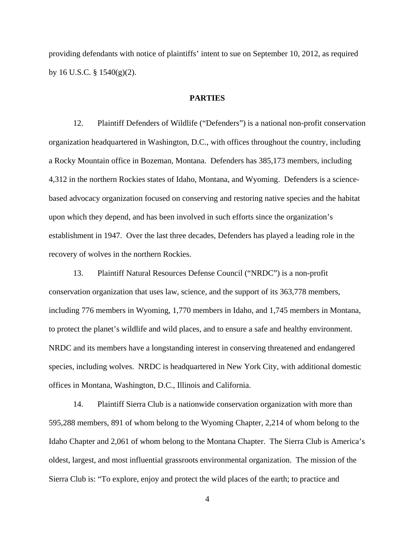providing defendants with notice of plaintiffs' intent to sue on September 10, 2012, as required by 16 U.S.C.  $\S$  1540(g)(2).

### **PARTIES**

12. Plaintiff Defenders of Wildlife ("Defenders") is a national non-profit conservation organization headquartered in Washington, D.C., with offices throughout the country, including a Rocky Mountain office in Bozeman, Montana. Defenders has 385,173 members, including 4,312 in the northern Rockies states of Idaho, Montana, and Wyoming. Defenders is a sciencebased advocacy organization focused on conserving and restoring native species and the habitat upon which they depend, and has been involved in such efforts since the organization's establishment in 1947. Over the last three decades, Defenders has played a leading role in the recovery of wolves in the northern Rockies.

13. Plaintiff Natural Resources Defense Council ("NRDC") is a non-profit conservation organization that uses law, science, and the support of its 363,778 members, including 776 members in Wyoming, 1,770 members in Idaho, and 1,745 members in Montana, to protect the planet's wildlife and wild places, and to ensure a safe and healthy environment. NRDC and its members have a longstanding interest in conserving threatened and endangered species, including wolves. NRDC is headquartered in New York City, with additional domestic offices in Montana, Washington, D.C., Illinois and California.

14. Plaintiff Sierra Club is a nationwide conservation organization with more than 595,288 members, 891 of whom belong to the Wyoming Chapter, 2,214 of whom belong to the Idaho Chapter and 2,061 of whom belong to the Montana Chapter. The Sierra Club is America's oldest, largest, and most influential grassroots environmental organization. The mission of the Sierra Club is: "To explore, enjoy and protect the wild places of the earth; to practice and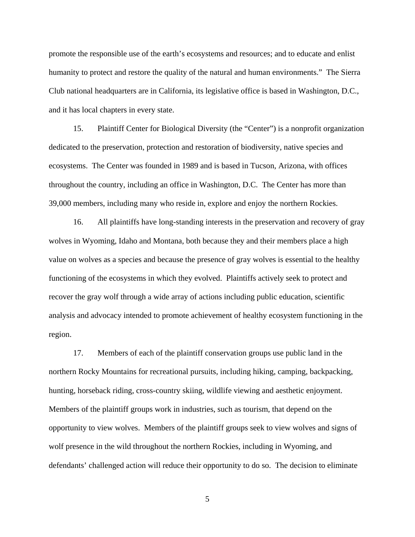promote the responsible use of the earth's ecosystems and resources; and to educate and enlist humanity to protect and restore the quality of the natural and human environments." The Sierra Club national headquarters are in California, its legislative office is based in Washington, D.C., and it has local chapters in every state.

15. Plaintiff Center for Biological Diversity (the "Center") is a nonprofit organization dedicated to the preservation, protection and restoration of biodiversity, native species and ecosystems. The Center was founded in 1989 and is based in Tucson, Arizona, with offices throughout the country, including an office in Washington, D.C. The Center has more than 39,000 members, including many who reside in, explore and enjoy the northern Rockies.

16. All plaintiffs have long-standing interests in the preservation and recovery of gray wolves in Wyoming, Idaho and Montana, both because they and their members place a high value on wolves as a species and because the presence of gray wolves is essential to the healthy functioning of the ecosystems in which they evolved. Plaintiffs actively seek to protect and recover the gray wolf through a wide array of actions including public education, scientific analysis and advocacy intended to promote achievement of healthy ecosystem functioning in the region.

17. Members of each of the plaintiff conservation groups use public land in the northern Rocky Mountains for recreational pursuits, including hiking, camping, backpacking, hunting, horseback riding, cross-country skiing, wildlife viewing and aesthetic enjoyment. Members of the plaintiff groups work in industries, such as tourism, that depend on the opportunity to view wolves. Members of the plaintiff groups seek to view wolves and signs of wolf presence in the wild throughout the northern Rockies, including in Wyoming, and defendants' challenged action will reduce their opportunity to do so. The decision to eliminate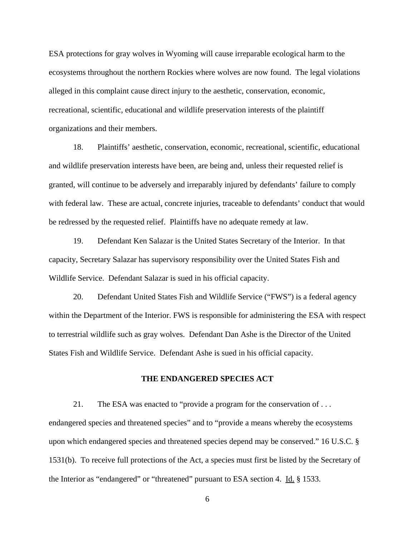ESA protections for gray wolves in Wyoming will cause irreparable ecological harm to the ecosystems throughout the northern Rockies where wolves are now found. The legal violations alleged in this complaint cause direct injury to the aesthetic, conservation, economic, recreational, scientific, educational and wildlife preservation interests of the plaintiff organizations and their members.

18. Plaintiffs' aesthetic, conservation, economic, recreational, scientific, educational and wildlife preservation interests have been, are being and, unless their requested relief is granted, will continue to be adversely and irreparably injured by defendants' failure to comply with federal law. These are actual, concrete injuries, traceable to defendants' conduct that would be redressed by the requested relief. Plaintiffs have no adequate remedy at law.

19. Defendant Ken Salazar is the United States Secretary of the Interior. In that capacity, Secretary Salazar has supervisory responsibility over the United States Fish and Wildlife Service. Defendant Salazar is sued in his official capacity.

20. Defendant United States Fish and Wildlife Service ("FWS") is a federal agency within the Department of the Interior. FWS is responsible for administering the ESA with respect to terrestrial wildlife such as gray wolves. Defendant Dan Ashe is the Director of the United States Fish and Wildlife Service. Defendant Ashe is sued in his official capacity.

### **THE ENDANGERED SPECIES ACT**

21. The ESA was enacted to "provide a program for the conservation of . . . endangered species and threatened species" and to "provide a means whereby the ecosystems upon which endangered species and threatened species depend may be conserved." 16 U.S.C. § 1531(b). To receive full protections of the Act, a species must first be listed by the Secretary of the Interior as "endangered" or "threatened" pursuant to ESA section 4. Id. § 1533.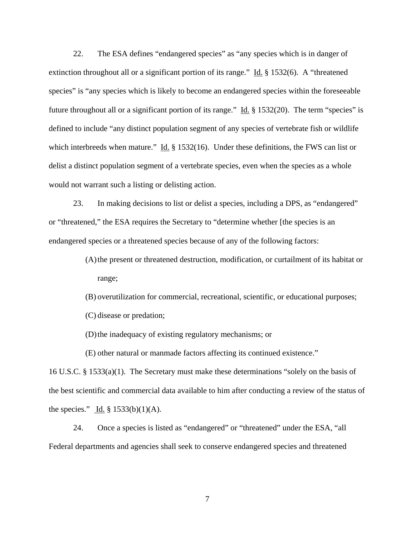22. The ESA defines "endangered species" as "any species which is in danger of extinction throughout all or a significant portion of its range." Id. § 1532(6). A "threatened species" is "any species which is likely to become an endangered species within the foreseeable future throughout all or a significant portion of its range." Id. § 1532(20). The term "species" is defined to include "any distinct population segment of any species of vertebrate fish or wildlife which interbreeds when mature." Id.  $\S 1532(16)$ . Under these definitions, the FWS can list or delist a distinct population segment of a vertebrate species, even when the species as a whole would not warrant such a listing or delisting action.

23. In making decisions to list or delist a species, including a DPS, as "endangered" or "threatened," the ESA requires the Secretary to "determine whether [the species is an endangered species or a threatened species because of any of the following factors:

> (A)the present or threatened destruction, modification, or curtailment of its habitat or range;

(B) overutilization for commercial, recreational, scientific, or educational purposes;

(C) disease or predation;

(D)the inadequacy of existing regulatory mechanisms; or

(E) other natural or manmade factors affecting its continued existence."

16 U.S.C. § 1533(a)(1). The Secretary must make these determinations "solely on the basis of the best scientific and commercial data available to him after conducting a review of the status of the species." Id.  $\S$  1533(b)(1)(A).

24. Once a species is listed as "endangered" or "threatened" under the ESA, "all Federal departments and agencies shall seek to conserve endangered species and threatened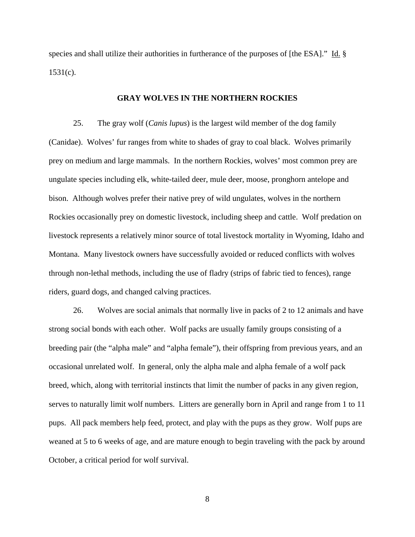species and shall utilize their authorities in furtherance of the purposes of [the ESA]." Id. §  $1531(c)$ .

## **GRAY WOLVES IN THE NORTHERN ROCKIES**

25. The gray wolf (*Canis lupus*) is the largest wild member of the dog family (Canidae). Wolves' fur ranges from white to shades of gray to coal black. Wolves primarily prey on medium and large mammals. In the northern Rockies, wolves' most common prey are ungulate species including elk, white-tailed deer, mule deer, moose, pronghorn antelope and bison. Although wolves prefer their native prey of wild ungulates, wolves in the northern Rockies occasionally prey on domestic livestock, including sheep and cattle. Wolf predation on livestock represents a relatively minor source of total livestock mortality in Wyoming, Idaho and Montana. Many livestock owners have successfully avoided or reduced conflicts with wolves through non-lethal methods, including the use of fladry (strips of fabric tied to fences), range riders, guard dogs, and changed calving practices.

26. Wolves are social animals that normally live in packs of 2 to 12 animals and have strong social bonds with each other. Wolf packs are usually family groups consisting of a breeding pair (the "alpha male" and "alpha female"), their offspring from previous years, and an occasional unrelated wolf. In general, only the alpha male and alpha female of a wolf pack breed, which, along with territorial instincts that limit the number of packs in any given region, serves to naturally limit wolf numbers. Litters are generally born in April and range from 1 to 11 pups. All pack members help feed, protect, and play with the pups as they grow. Wolf pups are weaned at 5 to 6 weeks of age, and are mature enough to begin traveling with the pack by around October, a critical period for wolf survival.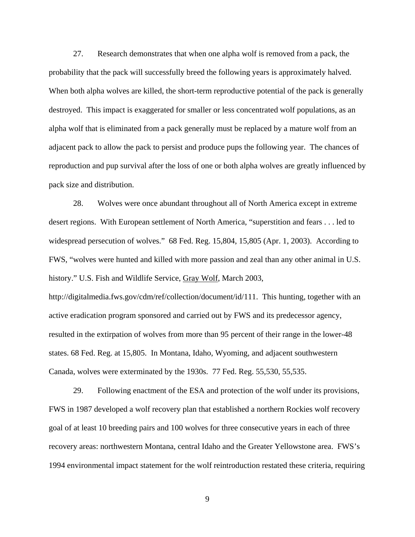27. Research demonstrates that when one alpha wolf is removed from a pack, the probability that the pack will successfully breed the following years is approximately halved. When both alpha wolves are killed, the short-term reproductive potential of the pack is generally destroyed. This impact is exaggerated for smaller or less concentrated wolf populations, as an alpha wolf that is eliminated from a pack generally must be replaced by a mature wolf from an adjacent pack to allow the pack to persist and produce pups the following year. The chances of reproduction and pup survival after the loss of one or both alpha wolves are greatly influenced by pack size and distribution.

28. Wolves were once abundant throughout all of North America except in extreme desert regions. With European settlement of North America, "superstition and fears . . . led to widespread persecution of wolves." 68 Fed. Reg. 15,804, 15,805 (Apr. 1, 2003). According to FWS, "wolves were hunted and killed with more passion and zeal than any other animal in U.S. history." U.S. Fish and Wildlife Service, Gray Wolf, March 2003,

http://digitalmedia.fws.gov/cdm/ref/collection/document/id/111. This hunting, together with an active eradication program sponsored and carried out by FWS and its predecessor agency, resulted in the extirpation of wolves from more than 95 percent of their range in the lower-48 states. 68 Fed. Reg. at 15,805. In Montana, Idaho, Wyoming, and adjacent southwestern Canada, wolves were exterminated by the 1930s. 77 Fed. Reg. 55,530, 55,535.

29. Following enactment of the ESA and protection of the wolf under its provisions, FWS in 1987 developed a wolf recovery plan that established a northern Rockies wolf recovery goal of at least 10 breeding pairs and 100 wolves for three consecutive years in each of three recovery areas: northwestern Montana, central Idaho and the Greater Yellowstone area. FWS's 1994 environmental impact statement for the wolf reintroduction restated these criteria, requiring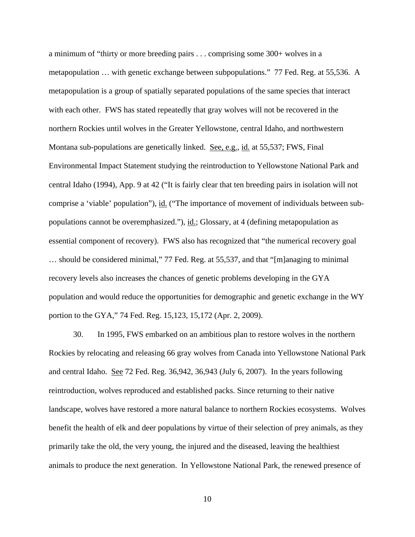a minimum of "thirty or more breeding pairs . . . comprising some 300+ wolves in a metapopulation … with genetic exchange between subpopulations." 77 Fed. Reg. at 55,536. A metapopulation is a group of spatially separated populations of the same species that interact with each other. FWS has stated repeatedly that gray wolves will not be recovered in the northern Rockies until wolves in the Greater Yellowstone, central Idaho, and northwestern Montana sub-populations are genetically linked. See, e.g., id. at 55,537; FWS, Final Environmental Impact Statement studying the reintroduction to Yellowstone National Park and central Idaho (1994), App. 9 at 42 ("It is fairly clear that ten breeding pairs in isolation will not comprise a 'viable' population"), id. ("The importance of movement of individuals between subpopulations cannot be overemphasized."),  $\underline{\text{id}}$ ; Glossary, at 4 (defining metapopulation as essential component of recovery). FWS also has recognized that "the numerical recovery goal … should be considered minimal," 77 Fed. Reg. at 55,537, and that "[m]anaging to minimal recovery levels also increases the chances of genetic problems developing in the GYA population and would reduce the opportunities for demographic and genetic exchange in the WY portion to the GYA," 74 Fed. Reg. 15,123, 15,172 (Apr. 2, 2009).

30. In 1995, FWS embarked on an ambitious plan to restore wolves in the northern Rockies by relocating and releasing 66 gray wolves from Canada into Yellowstone National Park and central Idaho. See 72 Fed. Reg. 36,942, 36,943 (July 6, 2007). In the years following reintroduction, wolves reproduced and established packs. Since returning to their native landscape, wolves have restored a more natural balance to northern Rockies ecosystems. Wolves benefit the health of elk and deer populations by virtue of their selection of prey animals, as they primarily take the old, the very young, the injured and the diseased, leaving the healthiest animals to produce the next generation. In Yellowstone National Park, the renewed presence of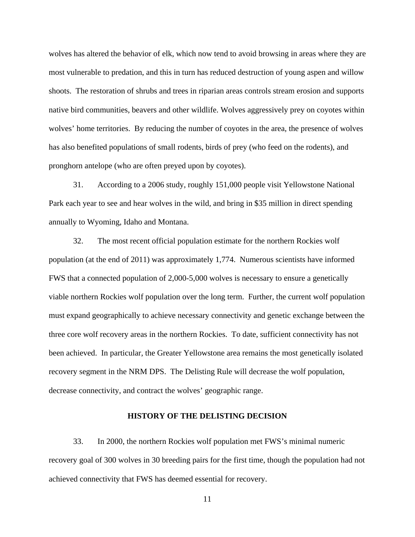wolves has altered the behavior of elk, which now tend to avoid browsing in areas where they are most vulnerable to predation, and this in turn has reduced destruction of young aspen and willow shoots. The restoration of shrubs and trees in riparian areas controls stream erosion and supports native bird communities, beavers and other wildlife. Wolves aggressively prey on coyotes within wolves' home territories. By reducing the number of coyotes in the area, the presence of wolves has also benefited populations of small rodents, birds of prey (who feed on the rodents), and pronghorn antelope (who are often preyed upon by coyotes).

31. According to a 2006 study, roughly 151,000 people visit Yellowstone National Park each year to see and hear wolves in the wild, and bring in \$35 million in direct spending annually to Wyoming, Idaho and Montana.

32. The most recent official population estimate for the northern Rockies wolf population (at the end of 2011) was approximately 1,774. Numerous scientists have informed FWS that a connected population of 2,000-5,000 wolves is necessary to ensure a genetically viable northern Rockies wolf population over the long term. Further, the current wolf population must expand geographically to achieve necessary connectivity and genetic exchange between the three core wolf recovery areas in the northern Rockies. To date, sufficient connectivity has not been achieved. In particular, the Greater Yellowstone area remains the most genetically isolated recovery segment in the NRM DPS. The Delisting Rule will decrease the wolf population, decrease connectivity, and contract the wolves' geographic range.

### **HISTORY OF THE DELISTING DECISION**

33. In 2000, the northern Rockies wolf population met FWS's minimal numeric recovery goal of 300 wolves in 30 breeding pairs for the first time, though the population had not achieved connectivity that FWS has deemed essential for recovery.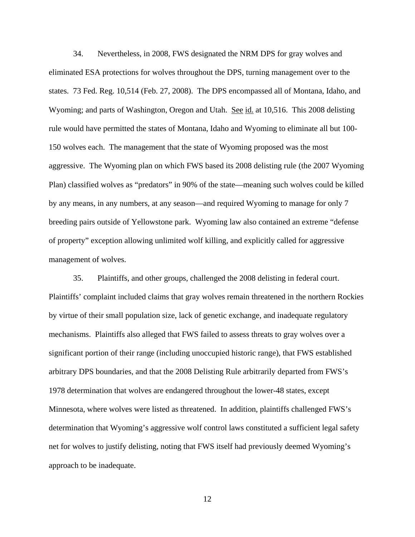34. Nevertheless, in 2008, FWS designated the NRM DPS for gray wolves and eliminated ESA protections for wolves throughout the DPS, turning management over to the states. 73 Fed. Reg. 10,514 (Feb. 27, 2008). The DPS encompassed all of Montana, Idaho, and Wyoming; and parts of Washington, Oregon and Utah. See id. at 10,516. This 2008 delisting rule would have permitted the states of Montana, Idaho and Wyoming to eliminate all but 100- 150 wolves each. The management that the state of Wyoming proposed was the most aggressive. The Wyoming plan on which FWS based its 2008 delisting rule (the 2007 Wyoming Plan) classified wolves as "predators" in 90% of the state—meaning such wolves could be killed by any means, in any numbers, at any season—and required Wyoming to manage for only 7 breeding pairs outside of Yellowstone park. Wyoming law also contained an extreme "defense of property" exception allowing unlimited wolf killing, and explicitly called for aggressive management of wolves.

35. Plaintiffs, and other groups, challenged the 2008 delisting in federal court. Plaintiffs' complaint included claims that gray wolves remain threatened in the northern Rockies by virtue of their small population size, lack of genetic exchange, and inadequate regulatory mechanisms. Plaintiffs also alleged that FWS failed to assess threats to gray wolves over a significant portion of their range (including unoccupied historic range), that FWS established arbitrary DPS boundaries, and that the 2008 Delisting Rule arbitrarily departed from FWS's 1978 determination that wolves are endangered throughout the lower-48 states, except Minnesota, where wolves were listed as threatened. In addition, plaintiffs challenged FWS's determination that Wyoming's aggressive wolf control laws constituted a sufficient legal safety net for wolves to justify delisting, noting that FWS itself had previously deemed Wyoming's approach to be inadequate.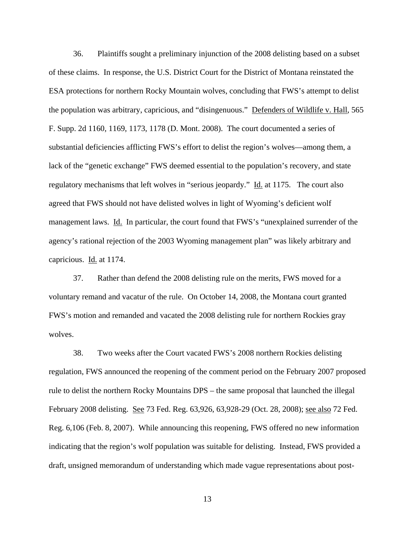36. Plaintiffs sought a preliminary injunction of the 2008 delisting based on a subset of these claims. In response, the U.S. District Court for the District of Montana reinstated the ESA protections for northern Rocky Mountain wolves, concluding that FWS's attempt to delist the population was arbitrary, capricious, and "disingenuous." Defenders of Wildlife v. Hall, 565 F. Supp. 2d 1160, 1169, 1173, 1178 (D. Mont. 2008). The court documented a series of substantial deficiencies afflicting FWS's effort to delist the region's wolves—among them, a lack of the "genetic exchange" FWS deemed essential to the population's recovery, and state regulatory mechanisms that left wolves in "serious jeopardy." Id. at 1175. The court also agreed that FWS should not have delisted wolves in light of Wyoming's deficient wolf management laws. Id. In particular, the court found that FWS's "unexplained surrender of the agency's rational rejection of the 2003 Wyoming management plan" was likely arbitrary and capricious. Id. at 1174.

37. Rather than defend the 2008 delisting rule on the merits, FWS moved for a voluntary remand and vacatur of the rule. On October 14, 2008, the Montana court granted FWS's motion and remanded and vacated the 2008 delisting rule for northern Rockies gray wolves.

38. Two weeks after the Court vacated FWS's 2008 northern Rockies delisting regulation, FWS announced the reopening of the comment period on the February 2007 proposed rule to delist the northern Rocky Mountains DPS – the same proposal that launched the illegal February 2008 delisting. See 73 Fed. Reg. 63,926, 63,928-29 (Oct. 28, 2008); <u>see also</u> 72 Fed. Reg. 6,106 (Feb. 8, 2007). While announcing this reopening, FWS offered no new information indicating that the region's wolf population was suitable for delisting. Instead, FWS provided a draft, unsigned memorandum of understanding which made vague representations about post-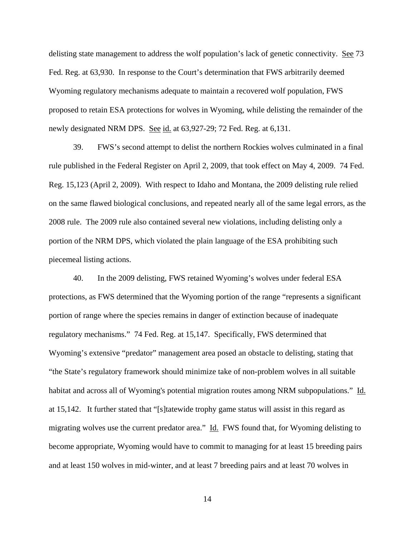delisting state management to address the wolf population's lack of genetic connectivity. See 73 Fed. Reg. at 63,930. In response to the Court's determination that FWS arbitrarily deemed Wyoming regulatory mechanisms adequate to maintain a recovered wolf population, FWS proposed to retain ESA protections for wolves in Wyoming, while delisting the remainder of the newly designated NRM DPS. See id. at 63,927-29; 72 Fed. Reg. at 6,131.

39. FWS's second attempt to delist the northern Rockies wolves culminated in a final rule published in the Federal Register on April 2, 2009, that took effect on May 4, 2009. 74 Fed. Reg. 15,123 (April 2, 2009). With respect to Idaho and Montana, the 2009 delisting rule relied on the same flawed biological conclusions, and repeated nearly all of the same legal errors, as the 2008 rule. The 2009 rule also contained several new violations, including delisting only a portion of the NRM DPS, which violated the plain language of the ESA prohibiting such piecemeal listing actions.

40. In the 2009 delisting, FWS retained Wyoming's wolves under federal ESA protections, as FWS determined that the Wyoming portion of the range "represents a significant portion of range where the species remains in danger of extinction because of inadequate regulatory mechanisms." 74 Fed. Reg. at 15,147. Specifically, FWS determined that Wyoming's extensive "predator" management area posed an obstacle to delisting, stating that "the State's regulatory framework should minimize take of non-problem wolves in all suitable habitat and across all of Wyoming's potential migration routes among NRM subpopulations." Id. at 15,142. It further stated that "[s]tatewide trophy game status will assist in this regard as migrating wolves use the current predator area." Id. FWS found that, for Wyoming delisting to become appropriate, Wyoming would have to commit to managing for at least 15 breeding pairs and at least 150 wolves in mid-winter, and at least 7 breeding pairs and at least 70 wolves in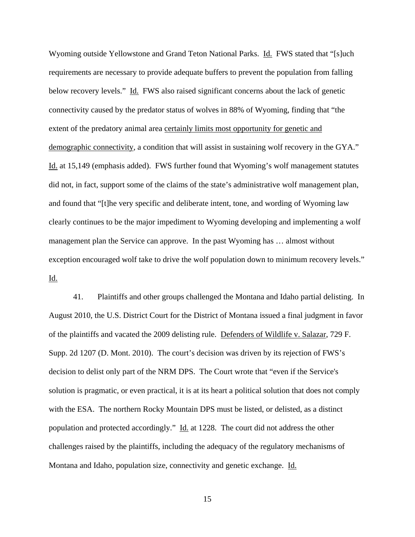Wyoming outside Yellowstone and Grand Teton National Parks. Id. FWS stated that "[s]uch requirements are necessary to provide adequate buffers to prevent the population from falling below recovery levels." Id. FWS also raised significant concerns about the lack of genetic connectivity caused by the predator status of wolves in 88% of Wyoming, finding that "the extent of the predatory animal area certainly limits most opportunity for genetic and demographic connectivity, a condition that will assist in sustaining wolf recovery in the GYA." Id. at 15,149 (emphasis added). FWS further found that Wyoming's wolf management statutes did not, in fact, support some of the claims of the state's administrative wolf management plan, and found that "[t]he very specific and deliberate intent, tone, and wording of Wyoming law clearly continues to be the major impediment to Wyoming developing and implementing a wolf management plan the Service can approve. In the past Wyoming has … almost without exception encouraged wolf take to drive the wolf population down to minimum recovery levels." Id.

41. Plaintiffs and other groups challenged the Montana and Idaho partial delisting. In August 2010, the U.S. District Court for the District of Montana issued a final judgment in favor of the plaintiffs and vacated the 2009 delisting rule. Defenders of Wildlife v. Salazar, 729 F. Supp. 2d 1207 (D. Mont. 2010). The court's decision was driven by its rejection of FWS's decision to delist only part of the NRM DPS. The Court wrote that "even if the Service's solution is pragmatic, or even practical, it is at its heart a political solution that does not comply with the ESA. The northern Rocky Mountain DPS must be listed, or delisted, as a distinct population and protected accordingly." Id. at 1228. The court did not address the other challenges raised by the plaintiffs, including the adequacy of the regulatory mechanisms of Montana and Idaho, population size, connectivity and genetic exchange. Id.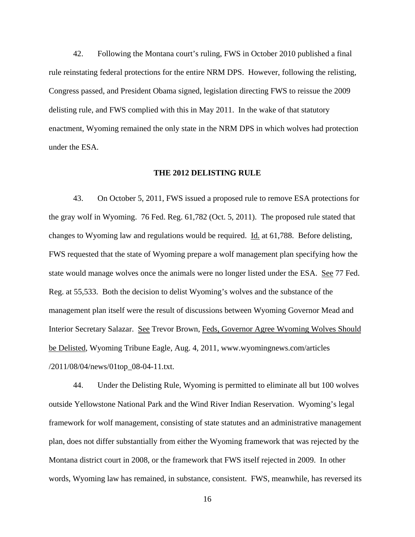42. Following the Montana court's ruling, FWS in October 2010 published a final rule reinstating federal protections for the entire NRM DPS. However, following the relisting, Congress passed, and President Obama signed, legislation directing FWS to reissue the 2009 delisting rule, and FWS complied with this in May 2011. In the wake of that statutory enactment, Wyoming remained the only state in the NRM DPS in which wolves had protection under the ESA.

#### **THE 2012 DELISTING RULE**

43. On October 5, 2011, FWS issued a proposed rule to remove ESA protections for the gray wolf in Wyoming. 76 Fed. Reg. 61,782 (Oct. 5, 2011). The proposed rule stated that changes to Wyoming law and regulations would be required. Id. at 61,788. Before delisting, FWS requested that the state of Wyoming prepare a wolf management plan specifying how the state would manage wolves once the animals were no longer listed under the ESA. See 77 Fed. Reg. at 55,533. Both the decision to delist Wyoming's wolves and the substance of the management plan itself were the result of discussions between Wyoming Governor Mead and Interior Secretary Salazar. See Trevor Brown, Feds, Governor Agree Wyoming Wolves Should be Delisted, Wyoming Tribune Eagle, Aug. 4, 2011, www.wyomingnews.com/articles /2011/08/04/news/01top\_08-04-11.txt.

44. Under the Delisting Rule, Wyoming is permitted to eliminate all but 100 wolves outside Yellowstone National Park and the Wind River Indian Reservation. Wyoming's legal framework for wolf management, consisting of state statutes and an administrative management plan, does not differ substantially from either the Wyoming framework that was rejected by the Montana district court in 2008, or the framework that FWS itself rejected in 2009. In other words, Wyoming law has remained, in substance, consistent. FWS, meanwhile, has reversed its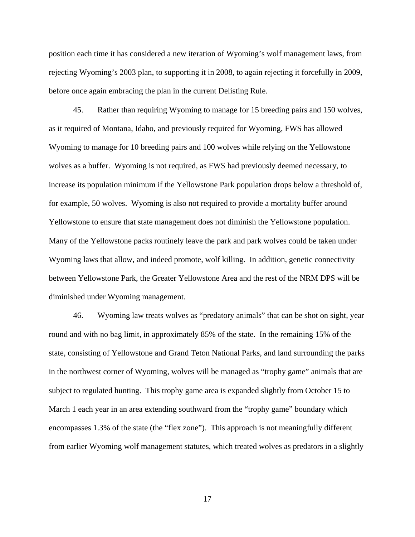position each time it has considered a new iteration of Wyoming's wolf management laws, from rejecting Wyoming's 2003 plan, to supporting it in 2008, to again rejecting it forcefully in 2009, before once again embracing the plan in the current Delisting Rule.

45. Rather than requiring Wyoming to manage for 15 breeding pairs and 150 wolves, as it required of Montana, Idaho, and previously required for Wyoming, FWS has allowed Wyoming to manage for 10 breeding pairs and 100 wolves while relying on the Yellowstone wolves as a buffer. Wyoming is not required, as FWS had previously deemed necessary, to increase its population minimum if the Yellowstone Park population drops below a threshold of, for example, 50 wolves. Wyoming is also not required to provide a mortality buffer around Yellowstone to ensure that state management does not diminish the Yellowstone population. Many of the Yellowstone packs routinely leave the park and park wolves could be taken under Wyoming laws that allow, and indeed promote, wolf killing. In addition, genetic connectivity between Yellowstone Park, the Greater Yellowstone Area and the rest of the NRM DPS will be diminished under Wyoming management.

46. Wyoming law treats wolves as "predatory animals" that can be shot on sight, year round and with no bag limit, in approximately 85% of the state. In the remaining 15% of the state, consisting of Yellowstone and Grand Teton National Parks, and land surrounding the parks in the northwest corner of Wyoming, wolves will be managed as "trophy game" animals that are subject to regulated hunting. This trophy game area is expanded slightly from October 15 to March 1 each year in an area extending southward from the "trophy game" boundary which encompasses 1.3% of the state (the "flex zone"). This approach is not meaningfully different from earlier Wyoming wolf management statutes, which treated wolves as predators in a slightly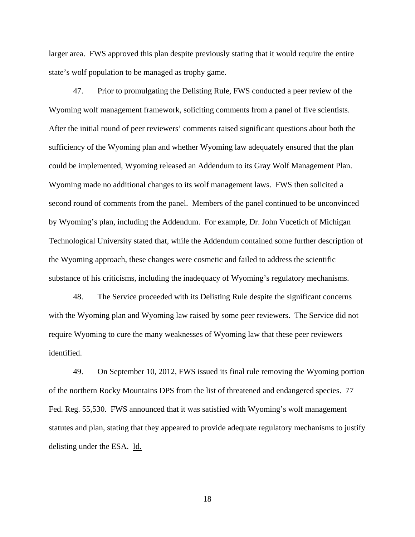larger area. FWS approved this plan despite previously stating that it would require the entire state's wolf population to be managed as trophy game.

47. Prior to promulgating the Delisting Rule, FWS conducted a peer review of the Wyoming wolf management framework, soliciting comments from a panel of five scientists. After the initial round of peer reviewers' comments raised significant questions about both the sufficiency of the Wyoming plan and whether Wyoming law adequately ensured that the plan could be implemented, Wyoming released an Addendum to its Gray Wolf Management Plan. Wyoming made no additional changes to its wolf management laws. FWS then solicited a second round of comments from the panel. Members of the panel continued to be unconvinced by Wyoming's plan, including the Addendum. For example, Dr. John Vucetich of Michigan Technological University stated that, while the Addendum contained some further description of the Wyoming approach, these changes were cosmetic and failed to address the scientific substance of his criticisms, including the inadequacy of Wyoming's regulatory mechanisms.

48. The Service proceeded with its Delisting Rule despite the significant concerns with the Wyoming plan and Wyoming law raised by some peer reviewers. The Service did not require Wyoming to cure the many weaknesses of Wyoming law that these peer reviewers identified.

49. On September 10, 2012, FWS issued its final rule removing the Wyoming portion of the northern Rocky Mountains DPS from the list of threatened and endangered species. 77 Fed. Reg. 55,530. FWS announced that it was satisfied with Wyoming's wolf management statutes and plan, stating that they appeared to provide adequate regulatory mechanisms to justify delisting under the ESA. Id.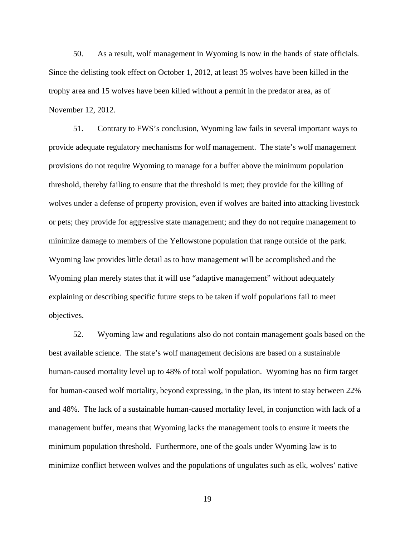50. As a result, wolf management in Wyoming is now in the hands of state officials. Since the delisting took effect on October 1, 2012, at least 35 wolves have been killed in the trophy area and 15 wolves have been killed without a permit in the predator area, as of November 12, 2012.

51. Contrary to FWS's conclusion, Wyoming law fails in several important ways to provide adequate regulatory mechanisms for wolf management. The state's wolf management provisions do not require Wyoming to manage for a buffer above the minimum population threshold, thereby failing to ensure that the threshold is met; they provide for the killing of wolves under a defense of property provision, even if wolves are baited into attacking livestock or pets; they provide for aggressive state management; and they do not require management to minimize damage to members of the Yellowstone population that range outside of the park. Wyoming law provides little detail as to how management will be accomplished and the Wyoming plan merely states that it will use "adaptive management" without adequately explaining or describing specific future steps to be taken if wolf populations fail to meet objectives.

52. Wyoming law and regulations also do not contain management goals based on the best available science. The state's wolf management decisions are based on a sustainable human-caused mortality level up to 48% of total wolf population. Wyoming has no firm target for human-caused wolf mortality, beyond expressing, in the plan, its intent to stay between 22% and 48%. The lack of a sustainable human-caused mortality level, in conjunction with lack of a management buffer, means that Wyoming lacks the management tools to ensure it meets the minimum population threshold. Furthermore, one of the goals under Wyoming law is to minimize conflict between wolves and the populations of ungulates such as elk, wolves' native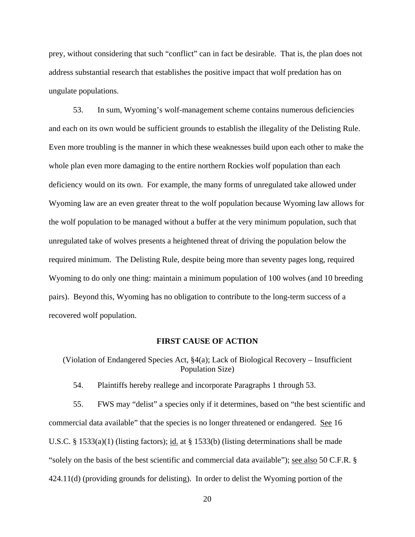prey, without considering that such "conflict" can in fact be desirable. That is, the plan does not address substantial research that establishes the positive impact that wolf predation has on ungulate populations.

53. In sum, Wyoming's wolf-management scheme contains numerous deficiencies and each on its own would be sufficient grounds to establish the illegality of the Delisting Rule. Even more troubling is the manner in which these weaknesses build upon each other to make the whole plan even more damaging to the entire northern Rockies wolf population than each deficiency would on its own. For example, the many forms of unregulated take allowed under Wyoming law are an even greater threat to the wolf population because Wyoming law allows for the wolf population to be managed without a buffer at the very minimum population, such that unregulated take of wolves presents a heightened threat of driving the population below the required minimum. The Delisting Rule, despite being more than seventy pages long, required Wyoming to do only one thing: maintain a minimum population of 100 wolves (and 10 breeding pairs). Beyond this, Wyoming has no obligation to contribute to the long-term success of a recovered wolf population.

# **FIRST CAUSE OF ACTION**

(Violation of Endangered Species Act, §4(a); Lack of Biological Recovery – Insufficient Population Size)

54. Plaintiffs hereby reallege and incorporate Paragraphs 1 through 53.

55. FWS may "delist" a species only if it determines, based on "the best scientific and commercial data available" that the species is no longer threatened or endangered. See 16 U.S.C. § 1533(a)(1) (listing factors); id. at § 1533(b) (listing determinations shall be made "solely on the basis of the best scientific and commercial data available"); see also 50 C.F.R. § 424.11(d) (providing grounds for delisting). In order to delist the Wyoming portion of the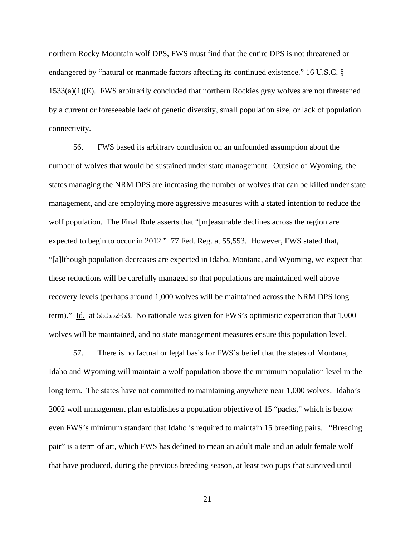northern Rocky Mountain wolf DPS, FWS must find that the entire DPS is not threatened or endangered by "natural or manmade factors affecting its continued existence." 16 U.S.C. § 1533(a)(1)(E). FWS arbitrarily concluded that northern Rockies gray wolves are not threatened by a current or foreseeable lack of genetic diversity, small population size, or lack of population connectivity.

56. FWS based its arbitrary conclusion on an unfounded assumption about the number of wolves that would be sustained under state management. Outside of Wyoming, the states managing the NRM DPS are increasing the number of wolves that can be killed under state management, and are employing more aggressive measures with a stated intention to reduce the wolf population. The Final Rule asserts that "[m]easurable declines across the region are expected to begin to occur in 2012." 77 Fed. Reg. at 55,553. However, FWS stated that, "[a]lthough population decreases are expected in Idaho, Montana, and Wyoming, we expect that these reductions will be carefully managed so that populations are maintained well above recovery levels (perhaps around 1,000 wolves will be maintained across the NRM DPS long term)." Id. at 55,552-53. No rationale was given for FWS's optimistic expectation that 1,000 wolves will be maintained, and no state management measures ensure this population level.

57. There is no factual or legal basis for FWS's belief that the states of Montana, Idaho and Wyoming will maintain a wolf population above the minimum population level in the long term. The states have not committed to maintaining anywhere near 1,000 wolves. Idaho's 2002 wolf management plan establishes a population objective of 15 "packs," which is below even FWS's minimum standard that Idaho is required to maintain 15 breeding pairs. "Breeding pair" is a term of art, which FWS has defined to mean an adult male and an adult female wolf that have produced, during the previous breeding season, at least two pups that survived until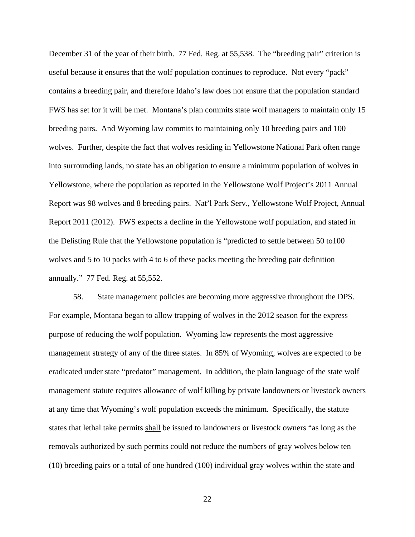December 31 of the year of their birth. 77 Fed. Reg. at 55,538. The "breeding pair" criterion is useful because it ensures that the wolf population continues to reproduce. Not every "pack" contains a breeding pair, and therefore Idaho's law does not ensure that the population standard FWS has set for it will be met. Montana's plan commits state wolf managers to maintain only 15 breeding pairs. And Wyoming law commits to maintaining only 10 breeding pairs and 100 wolves. Further, despite the fact that wolves residing in Yellowstone National Park often range into surrounding lands, no state has an obligation to ensure a minimum population of wolves in Yellowstone, where the population as reported in the Yellowstone Wolf Project's 2011 Annual Report was 98 wolves and 8 breeding pairs. Nat'l Park Serv., Yellowstone Wolf Project, Annual Report 2011 (2012). FWS expects a decline in the Yellowstone wolf population, and stated in the Delisting Rule that the Yellowstone population is "predicted to settle between 50 to100 wolves and 5 to 10 packs with 4 to 6 of these packs meeting the breeding pair definition annually." 77 Fed. Reg. at 55,552.

58. State management policies are becoming more aggressive throughout the DPS. For example, Montana began to allow trapping of wolves in the 2012 season for the express purpose of reducing the wolf population. Wyoming law represents the most aggressive management strategy of any of the three states. In 85% of Wyoming, wolves are expected to be eradicated under state "predator" management. In addition, the plain language of the state wolf management statute requires allowance of wolf killing by private landowners or livestock owners at any time that Wyoming's wolf population exceeds the minimum. Specifically, the statute states that lethal take permits shall be issued to landowners or livestock owners "as long as the removals authorized by such permits could not reduce the numbers of gray wolves below ten (10) breeding pairs or a total of one hundred (100) individual gray wolves within the state and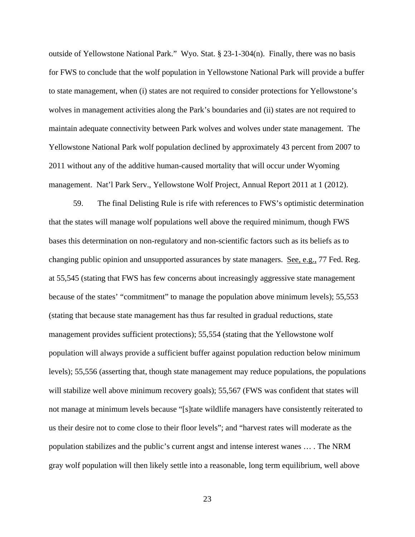outside of Yellowstone National Park." Wyo. Stat. § 23-1-304(n). Finally, there was no basis for FWS to conclude that the wolf population in Yellowstone National Park will provide a buffer to state management, when (i) states are not required to consider protections for Yellowstone's wolves in management activities along the Park's boundaries and (ii) states are not required to maintain adequate connectivity between Park wolves and wolves under state management. The Yellowstone National Park wolf population declined by approximately 43 percent from 2007 to 2011 without any of the additive human-caused mortality that will occur under Wyoming management. Nat'l Park Serv., Yellowstone Wolf Project, Annual Report 2011 at 1 (2012).

59. The final Delisting Rule is rife with references to FWS's optimistic determination that the states will manage wolf populations well above the required minimum, though FWS bases this determination on non-regulatory and non-scientific factors such as its beliefs as to changing public opinion and unsupported assurances by state managers. See, e.g., 77 Fed. Reg. at 55,545 (stating that FWS has few concerns about increasingly aggressive state management because of the states' "commitment" to manage the population above minimum levels); 55,553 (stating that because state management has thus far resulted in gradual reductions, state management provides sufficient protections); 55,554 (stating that the Yellowstone wolf population will always provide a sufficient buffer against population reduction below minimum levels); 55,556 (asserting that, though state management may reduce populations, the populations will stabilize well above minimum recovery goals); 55,567 (FWS was confident that states will not manage at minimum levels because "[s]tate wildlife managers have consistently reiterated to us their desire not to come close to their floor levels"; and "harvest rates will moderate as the population stabilizes and the public's current angst and intense interest wanes … . The NRM gray wolf population will then likely settle into a reasonable, long term equilibrium, well above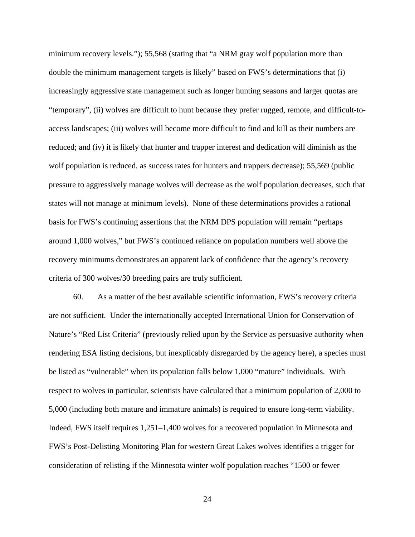minimum recovery levels."); 55,568 (stating that "a NRM gray wolf population more than double the minimum management targets is likely" based on FWS's determinations that (i) increasingly aggressive state management such as longer hunting seasons and larger quotas are "temporary", (ii) wolves are difficult to hunt because they prefer rugged, remote, and difficult-toaccess landscapes; (iii) wolves will become more difficult to find and kill as their numbers are reduced; and (iv) it is likely that hunter and trapper interest and dedication will diminish as the wolf population is reduced, as success rates for hunters and trappers decrease); 55,569 (public pressure to aggressively manage wolves will decrease as the wolf population decreases, such that states will not manage at minimum levels). None of these determinations provides a rational basis for FWS's continuing assertions that the NRM DPS population will remain "perhaps around 1,000 wolves," but FWS's continued reliance on population numbers well above the recovery minimums demonstrates an apparent lack of confidence that the agency's recovery criteria of 300 wolves/30 breeding pairs are truly sufficient.

60. As a matter of the best available scientific information, FWS's recovery criteria are not sufficient. Under the internationally accepted International Union for Conservation of Nature's "Red List Criteria" (previously relied upon by the Service as persuasive authority when rendering ESA listing decisions, but inexplicably disregarded by the agency here), a species must be listed as "vulnerable" when its population falls below 1,000 "mature" individuals. With respect to wolves in particular, scientists have calculated that a minimum population of 2,000 to 5,000 (including both mature and immature animals) is required to ensure long-term viability. Indeed, FWS itself requires 1,251–1,400 wolves for a recovered population in Minnesota and FWS's Post-Delisting Monitoring Plan for western Great Lakes wolves identifies a trigger for consideration of relisting if the Minnesota winter wolf population reaches "1500 or fewer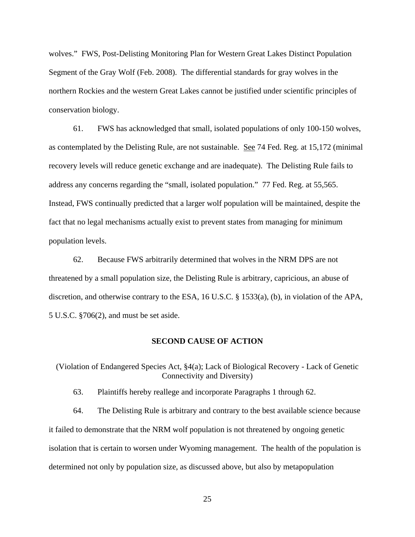wolves." FWS, Post-Delisting Monitoring Plan for Western Great Lakes Distinct Population Segment of the Gray Wolf (Feb. 2008). The differential standards for gray wolves in the northern Rockies and the western Great Lakes cannot be justified under scientific principles of conservation biology.

61. FWS has acknowledged that small, isolated populations of only 100-150 wolves, as contemplated by the Delisting Rule, are not sustainable. See 74 Fed. Reg. at 15,172 (minimal recovery levels will reduce genetic exchange and are inadequate). The Delisting Rule fails to address any concerns regarding the "small, isolated population." 77 Fed. Reg. at 55,565. Instead, FWS continually predicted that a larger wolf population will be maintained, despite the fact that no legal mechanisms actually exist to prevent states from managing for minimum population levels.

62. Because FWS arbitrarily determined that wolves in the NRM DPS are not threatened by a small population size, the Delisting Rule is arbitrary, capricious, an abuse of discretion, and otherwise contrary to the ESA, 16 U.S.C. § 1533(a), (b), in violation of the APA, 5 U.S.C. §706(2), and must be set aside.

### **SECOND CAUSE OF ACTION**

(Violation of Endangered Species Act, §4(a); Lack of Biological Recovery - Lack of Genetic Connectivity and Diversity)

63. Plaintiffs hereby reallege and incorporate Paragraphs 1 through 62.

64. The Delisting Rule is arbitrary and contrary to the best available science because it failed to demonstrate that the NRM wolf population is not threatened by ongoing genetic isolation that is certain to worsen under Wyoming management. The health of the population is determined not only by population size, as discussed above, but also by metapopulation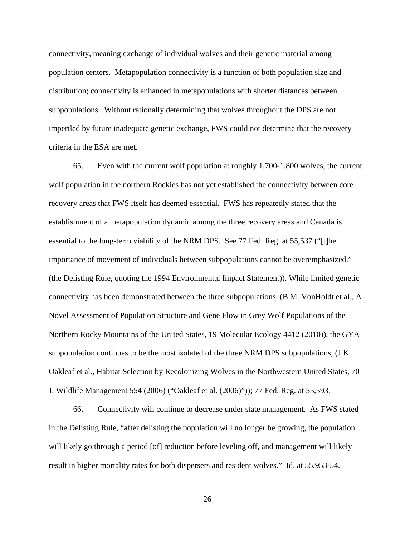connectivity, meaning exchange of individual wolves and their genetic material among population centers. Metapopulation connectivity is a function of both population size and distribution; connectivity is enhanced in metapopulations with shorter distances between subpopulations. Without rationally determining that wolves throughout the DPS are not imperiled by future inadequate genetic exchange, FWS could not determine that the recovery criteria in the ESA are met.

65. Even with the current wolf population at roughly 1,700-1,800 wolves, the current wolf population in the northern Rockies has not yet established the connectivity between core recovery areas that FWS itself has deemed essential. FWS has repeatedly stated that the establishment of a metapopulation dynamic among the three recovery areas and Canada is essential to the long-term viability of the NRM DPS. See 77 Fed. Reg. at 55,537 ("[t]he importance of movement of individuals between subpopulations cannot be overemphasized." (the Delisting Rule, quoting the 1994 Environmental Impact Statement)). While limited genetic connectivity has been demonstrated between the three subpopulations, (B.M. VonHoldt et al., A Novel Assessment of Population Structure and Gene Flow in Grey Wolf Populations of the Northern Rocky Mountains of the United States, 19 Molecular Ecology 4412 (2010)), the GYA subpopulation continues to be the most isolated of the three NRM DPS subpopulations, (J.K. Oakleaf et al., Habitat Selection by Recolonizing Wolves in the Northwestern United States, 70 J. Wildlife Management 554 (2006) ("Oakleaf et al. (2006)")); 77 Fed. Reg. at 55,593.

66. Connectivity will continue to decrease under state management. As FWS stated in the Delisting Rule, "after delisting the population will no longer be growing, the population will likely go through a period [of] reduction before leveling off, and management will likely result in higher mortality rates for both dispersers and resident wolves." Id. at 55,953-54.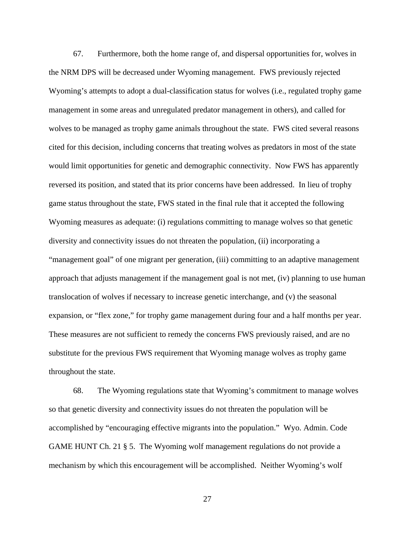67. Furthermore, both the home range of, and dispersal opportunities for, wolves in the NRM DPS will be decreased under Wyoming management. FWS previously rejected Wyoming's attempts to adopt a dual-classification status for wolves (i.e., regulated trophy game management in some areas and unregulated predator management in others), and called for wolves to be managed as trophy game animals throughout the state. FWS cited several reasons cited for this decision, including concerns that treating wolves as predators in most of the state would limit opportunities for genetic and demographic connectivity. Now FWS has apparently reversed its position, and stated that its prior concerns have been addressed. In lieu of trophy game status throughout the state, FWS stated in the final rule that it accepted the following Wyoming measures as adequate: (i) regulations committing to manage wolves so that genetic diversity and connectivity issues do not threaten the population, (ii) incorporating a "management goal" of one migrant per generation, (iii) committing to an adaptive management approach that adjusts management if the management goal is not met, (iv) planning to use human translocation of wolves if necessary to increase genetic interchange, and (v) the seasonal expansion, or "flex zone," for trophy game management during four and a half months per year. These measures are not sufficient to remedy the concerns FWS previously raised, and are no substitute for the previous FWS requirement that Wyoming manage wolves as trophy game throughout the state.

68. The Wyoming regulations state that Wyoming's commitment to manage wolves so that genetic diversity and connectivity issues do not threaten the population will be accomplished by "encouraging effective migrants into the population." Wyo. Admin. Code GAME HUNT Ch. 21 § 5. The Wyoming wolf management regulations do not provide a mechanism by which this encouragement will be accomplished. Neither Wyoming's wolf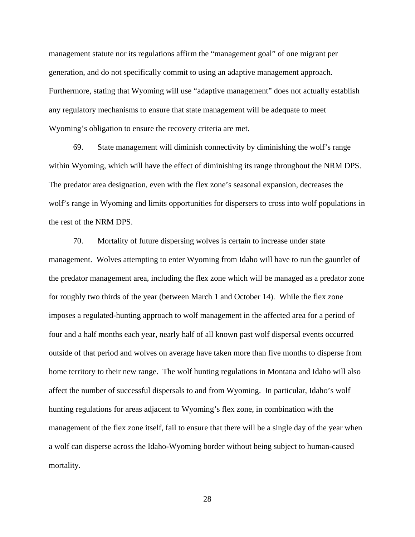management statute nor its regulations affirm the "management goal" of one migrant per generation, and do not specifically commit to using an adaptive management approach. Furthermore, stating that Wyoming will use "adaptive management" does not actually establish any regulatory mechanisms to ensure that state management will be adequate to meet Wyoming's obligation to ensure the recovery criteria are met.

69. State management will diminish connectivity by diminishing the wolf's range within Wyoming, which will have the effect of diminishing its range throughout the NRM DPS. The predator area designation, even with the flex zone's seasonal expansion, decreases the wolf's range in Wyoming and limits opportunities for dispersers to cross into wolf populations in the rest of the NRM DPS.

70. Mortality of future dispersing wolves is certain to increase under state management. Wolves attempting to enter Wyoming from Idaho will have to run the gauntlet of the predator management area, including the flex zone which will be managed as a predator zone for roughly two thirds of the year (between March 1 and October 14). While the flex zone imposes a regulated-hunting approach to wolf management in the affected area for a period of four and a half months each year, nearly half of all known past wolf dispersal events occurred outside of that period and wolves on average have taken more than five months to disperse from home territory to their new range. The wolf hunting regulations in Montana and Idaho will also affect the number of successful dispersals to and from Wyoming. In particular, Idaho's wolf hunting regulations for areas adjacent to Wyoming's flex zone, in combination with the management of the flex zone itself, fail to ensure that there will be a single day of the year when a wolf can disperse across the Idaho-Wyoming border without being subject to human-caused mortality.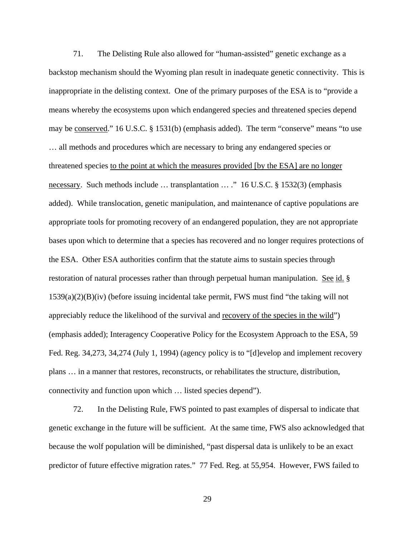71. The Delisting Rule also allowed for "human-assisted" genetic exchange as a backstop mechanism should the Wyoming plan result in inadequate genetic connectivity. This is inappropriate in the delisting context. One of the primary purposes of the ESA is to "provide a means whereby the ecosystems upon which endangered species and threatened species depend may be conserved." 16 U.S.C. § 1531(b) (emphasis added). The term "conserve" means "to use … all methods and procedures which are necessary to bring any endangered species or threatened species to the point at which the measures provided [by the ESA] are no longer necessary. Such methods include … transplantation … ." 16 U.S.C. § 1532(3) (emphasis added). While translocation, genetic manipulation, and maintenance of captive populations are appropriate tools for promoting recovery of an endangered population, they are not appropriate bases upon which to determine that a species has recovered and no longer requires protections of the ESA. Other ESA authorities confirm that the statute aims to sustain species through restoration of natural processes rather than through perpetual human manipulation. See id. § 1539(a)(2)(B)(iv) (before issuing incidental take permit, FWS must find "the taking will not appreciably reduce the likelihood of the survival and recovery of the species in the wild") (emphasis added); Interagency Cooperative Policy for the Ecosystem Approach to the ESA, 59 Fed. Reg. 34,273, 34,274 (July 1, 1994) (agency policy is to "[d]evelop and implement recovery plans … in a manner that restores, reconstructs, or rehabilitates the structure, distribution, connectivity and function upon which … listed species depend").

72. In the Delisting Rule, FWS pointed to past examples of dispersal to indicate that genetic exchange in the future will be sufficient. At the same time, FWS also acknowledged that because the wolf population will be diminished, "past dispersal data is unlikely to be an exact predictor of future effective migration rates." 77 Fed. Reg. at 55,954. However, FWS failed to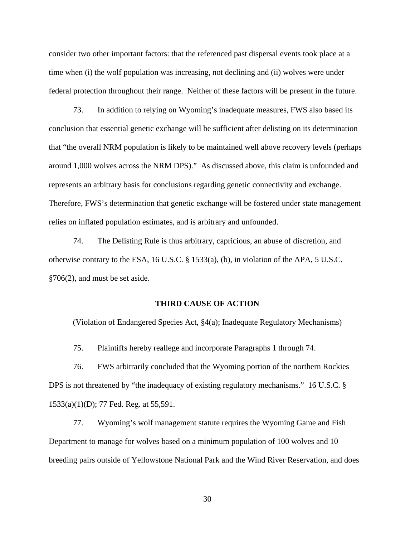consider two other important factors: that the referenced past dispersal events took place at a time when (i) the wolf population was increasing, not declining and (ii) wolves were under federal protection throughout their range. Neither of these factors will be present in the future.

73. In addition to relying on Wyoming's inadequate measures, FWS also based its conclusion that essential genetic exchange will be sufficient after delisting on its determination that "the overall NRM population is likely to be maintained well above recovery levels (perhaps around 1,000 wolves across the NRM DPS)." As discussed above, this claim is unfounded and represents an arbitrary basis for conclusions regarding genetic connectivity and exchange. Therefore, FWS's determination that genetic exchange will be fostered under state management relies on inflated population estimates, and is arbitrary and unfounded.

74. The Delisting Rule is thus arbitrary, capricious, an abuse of discretion, and otherwise contrary to the ESA, 16 U.S.C. § 1533(a), (b), in violation of the APA, 5 U.S.C. §706(2), and must be set aside.

## **THIRD CAUSE OF ACTION**

(Violation of Endangered Species Act, §4(a); Inadequate Regulatory Mechanisms)

75. Plaintiffs hereby reallege and incorporate Paragraphs 1 through 74.

76. FWS arbitrarily concluded that the Wyoming portion of the northern Rockies DPS is not threatened by "the inadequacy of existing regulatory mechanisms." 16 U.S.C. § 1533(a)(1)(D); 77 Fed. Reg. at 55,591.

77. Wyoming's wolf management statute requires the Wyoming Game and Fish Department to manage for wolves based on a minimum population of 100 wolves and 10 breeding pairs outside of Yellowstone National Park and the Wind River Reservation, and does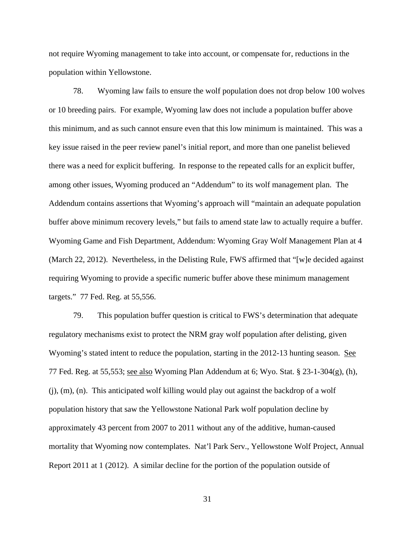not require Wyoming management to take into account, or compensate for, reductions in the population within Yellowstone.

78. Wyoming law fails to ensure the wolf population does not drop below 100 wolves or 10 breeding pairs. For example, Wyoming law does not include a population buffer above this minimum, and as such cannot ensure even that this low minimum is maintained. This was a key issue raised in the peer review panel's initial report, and more than one panelist believed there was a need for explicit buffering. In response to the repeated calls for an explicit buffer, among other issues, Wyoming produced an "Addendum" to its wolf management plan. The Addendum contains assertions that Wyoming's approach will "maintain an adequate population buffer above minimum recovery levels," but fails to amend state law to actually require a buffer. Wyoming Game and Fish Department, Addendum: Wyoming Gray Wolf Management Plan at 4 (March 22, 2012). Nevertheless, in the Delisting Rule, FWS affirmed that "[w]e decided against requiring Wyoming to provide a specific numeric buffer above these minimum management targets." 77 Fed. Reg. at 55,556.

79. This population buffer question is critical to FWS's determination that adequate regulatory mechanisms exist to protect the NRM gray wolf population after delisting, given Wyoming's stated intent to reduce the population, starting in the 2012-13 hunting season. See 77 Fed. Reg. at 55,553; see also Wyoming Plan Addendum at 6; Wyo. Stat. § 23-1-304(g), (h), (j), (m), (n). This anticipated wolf killing would play out against the backdrop of a wolf population history that saw the Yellowstone National Park wolf population decline by approximately 43 percent from 2007 to 2011 without any of the additive, human-caused mortality that Wyoming now contemplates. Nat'l Park Serv., Yellowstone Wolf Project, Annual Report 2011 at 1 (2012). A similar decline for the portion of the population outside of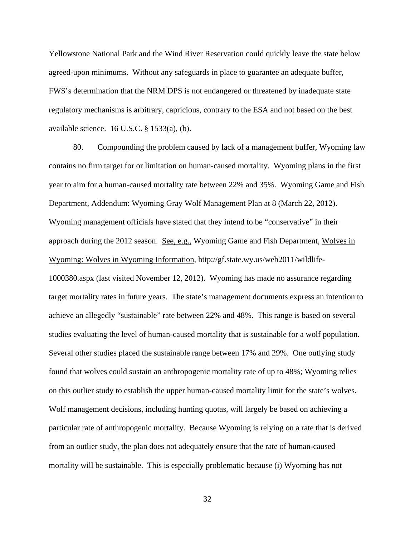Yellowstone National Park and the Wind River Reservation could quickly leave the state below agreed-upon minimums. Without any safeguards in place to guarantee an adequate buffer, FWS's determination that the NRM DPS is not endangered or threatened by inadequate state regulatory mechanisms is arbitrary, capricious, contrary to the ESA and not based on the best available science. 16 U.S.C. § 1533(a), (b).

80. Compounding the problem caused by lack of a management buffer, Wyoming law contains no firm target for or limitation on human-caused mortality. Wyoming plans in the first year to aim for a human-caused mortality rate between 22% and 35%. Wyoming Game and Fish Department, Addendum: Wyoming Gray Wolf Management Plan at 8 (March 22, 2012). Wyoming management officials have stated that they intend to be "conservative" in their approach during the 2012 season. See, e.g., Wyoming Game and Fish Department, Wolves in Wyoming: Wolves in Wyoming Information, http://gf.state.wy.us/web2011/wildlife-1000380.aspx (last visited November 12, 2012). Wyoming has made no assurance regarding target mortality rates in future years. The state's management documents express an intention to achieve an allegedly "sustainable" rate between 22% and 48%. This range is based on several studies evaluating the level of human-caused mortality that is sustainable for a wolf population. Several other studies placed the sustainable range between 17% and 29%. One outlying study found that wolves could sustain an anthropogenic mortality rate of up to 48%; Wyoming relies on this outlier study to establish the upper human-caused mortality limit for the state's wolves. Wolf management decisions, including hunting quotas, will largely be based on achieving a particular rate of anthropogenic mortality. Because Wyoming is relying on a rate that is derived from an outlier study, the plan does not adequately ensure that the rate of human-caused mortality will be sustainable. This is especially problematic because (i) Wyoming has not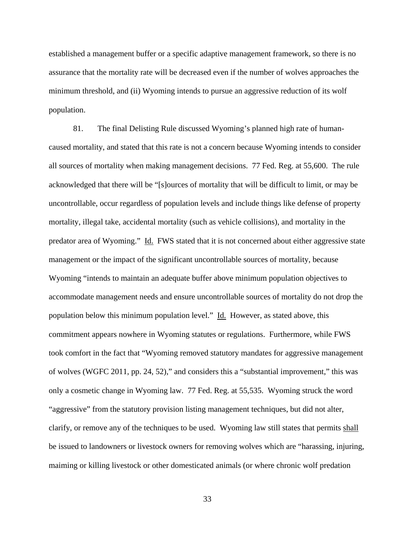established a management buffer or a specific adaptive management framework, so there is no assurance that the mortality rate will be decreased even if the number of wolves approaches the minimum threshold, and (ii) Wyoming intends to pursue an aggressive reduction of its wolf population.

81. The final Delisting Rule discussed Wyoming's planned high rate of humancaused mortality, and stated that this rate is not a concern because Wyoming intends to consider all sources of mortality when making management decisions. 77 Fed. Reg. at 55,600. The rule acknowledged that there will be "[s]ources of mortality that will be difficult to limit, or may be uncontrollable, occur regardless of population levels and include things like defense of property mortality, illegal take, accidental mortality (such as vehicle collisions), and mortality in the predator area of Wyoming." Id. FWS stated that it is not concerned about either aggressive state management or the impact of the significant uncontrollable sources of mortality, because Wyoming "intends to maintain an adequate buffer above minimum population objectives to accommodate management needs and ensure uncontrollable sources of mortality do not drop the population below this minimum population level." Id. However, as stated above, this commitment appears nowhere in Wyoming statutes or regulations. Furthermore, while FWS took comfort in the fact that "Wyoming removed statutory mandates for aggressive management of wolves (WGFC 2011, pp. 24, 52)," and considers this a "substantial improvement," this was only a cosmetic change in Wyoming law. 77 Fed. Reg. at 55,535. Wyoming struck the word "aggressive" from the statutory provision listing management techniques, but did not alter, clarify, or remove any of the techniques to be used. Wyoming law still states that permits shall be issued to landowners or livestock owners for removing wolves which are "harassing, injuring, maiming or killing livestock or other domesticated animals (or where chronic wolf predation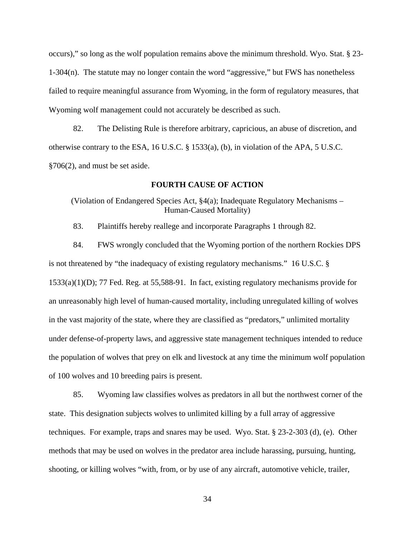occurs)," so long as the wolf population remains above the minimum threshold. Wyo. Stat. § 23- 1-304(n). The statute may no longer contain the word "aggressive," but FWS has nonetheless failed to require meaningful assurance from Wyoming, in the form of regulatory measures, that Wyoming wolf management could not accurately be described as such.

82. The Delisting Rule is therefore arbitrary, capricious, an abuse of discretion, and otherwise contrary to the ESA, 16 U.S.C. § 1533(a), (b), in violation of the APA, 5 U.S.C. §706(2), and must be set aside.

## **FOURTH CAUSE OF ACTION**

(Violation of Endangered Species Act, §4(a); Inadequate Regulatory Mechanisms – Human-Caused Mortality)

83. Plaintiffs hereby reallege and incorporate Paragraphs 1 through 82.

84. FWS wrongly concluded that the Wyoming portion of the northern Rockies DPS is not threatened by "the inadequacy of existing regulatory mechanisms." 16 U.S.C. § 1533(a)(1)(D); 77 Fed. Reg. at 55,588-91. In fact, existing regulatory mechanisms provide for an unreasonably high level of human-caused mortality, including unregulated killing of wolves in the vast majority of the state, where they are classified as "predators," unlimited mortality under defense-of-property laws, and aggressive state management techniques intended to reduce the population of wolves that prey on elk and livestock at any time the minimum wolf population of 100 wolves and 10 breeding pairs is present.

85. Wyoming law classifies wolves as predators in all but the northwest corner of the state. This designation subjects wolves to unlimited killing by a full array of aggressive techniques. For example, traps and snares may be used. Wyo. Stat. § 23-2-303 (d), (e). Other methods that may be used on wolves in the predator area include harassing, pursuing, hunting, shooting, or killing wolves "with, from, or by use of any aircraft, automotive vehicle, trailer,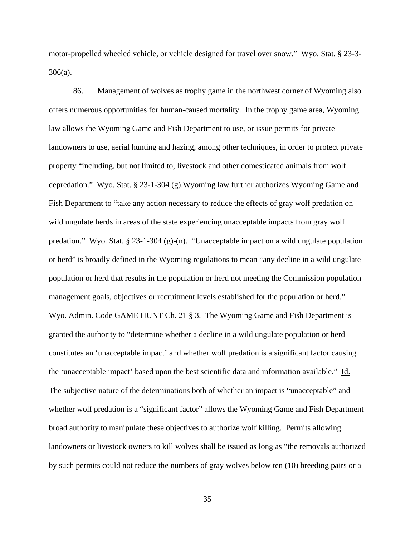motor-propelled wheeled vehicle, or vehicle designed for travel over snow." Wyo. Stat. § 23-3- 306(a).

86. Management of wolves as trophy game in the northwest corner of Wyoming also offers numerous opportunities for human-caused mortality. In the trophy game area, Wyoming law allows the Wyoming Game and Fish Department to use, or issue permits for private landowners to use, aerial hunting and hazing, among other techniques, in order to protect private property "including, but not limited to, livestock and other domesticated animals from wolf depredation." Wyo. Stat. § 23-1-304 (g).Wyoming law further authorizes Wyoming Game and Fish Department to "take any action necessary to reduce the effects of gray wolf predation on wild ungulate herds in areas of the state experiencing unacceptable impacts from gray wolf predation." Wyo. Stat. § 23-1-304 (g)-(n). "Unacceptable impact on a wild ungulate population or herd" is broadly defined in the Wyoming regulations to mean "any decline in a wild ungulate population or herd that results in the population or herd not meeting the Commission population management goals, objectives or recruitment levels established for the population or herd." Wyo. Admin. Code GAME HUNT Ch. 21 § 3. The Wyoming Game and Fish Department is granted the authority to "determine whether a decline in a wild ungulate population or herd constitutes an 'unacceptable impact' and whether wolf predation is a significant factor causing the 'unacceptable impact' based upon the best scientific data and information available." Id. The subjective nature of the determinations both of whether an impact is "unacceptable" and whether wolf predation is a "significant factor" allows the Wyoming Game and Fish Department broad authority to manipulate these objectives to authorize wolf killing. Permits allowing landowners or livestock owners to kill wolves shall be issued as long as "the removals authorized by such permits could not reduce the numbers of gray wolves below ten (10) breeding pairs or a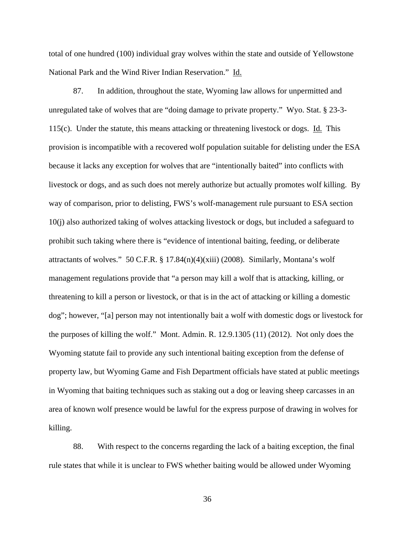total of one hundred (100) individual gray wolves within the state and outside of Yellowstone National Park and the Wind River Indian Reservation." Id.

87. In addition, throughout the state, Wyoming law allows for unpermitted and unregulated take of wolves that are "doing damage to private property." Wyo. Stat. § 23-3- 115(c). Under the statute, this means attacking or threatening livestock or dogs. Id. This provision is incompatible with a recovered wolf population suitable for delisting under the ESA because it lacks any exception for wolves that are "intentionally baited" into conflicts with livestock or dogs, and as such does not merely authorize but actually promotes wolf killing. By way of comparison, prior to delisting, FWS's wolf-management rule pursuant to ESA section 10(j) also authorized taking of wolves attacking livestock or dogs, but included a safeguard to prohibit such taking where there is "evidence of intentional baiting, feeding, or deliberate attractants of wolves." 50 C.F.R.  $\S 17.84(n)(4)(xiii)$  (2008). Similarly, Montana's wolf management regulations provide that "a person may kill a wolf that is attacking, killing, or threatening to kill a person or livestock, or that is in the act of attacking or killing a domestic dog"; however, "[a] person may not intentionally bait a wolf with domestic dogs or livestock for the purposes of killing the wolf." Mont. Admin. R. 12.9.1305 (11) (2012). Not only does the Wyoming statute fail to provide any such intentional baiting exception from the defense of property law, but Wyoming Game and Fish Department officials have stated at public meetings in Wyoming that baiting techniques such as staking out a dog or leaving sheep carcasses in an area of known wolf presence would be lawful for the express purpose of drawing in wolves for killing.

88. With respect to the concerns regarding the lack of a baiting exception, the final rule states that while it is unclear to FWS whether baiting would be allowed under Wyoming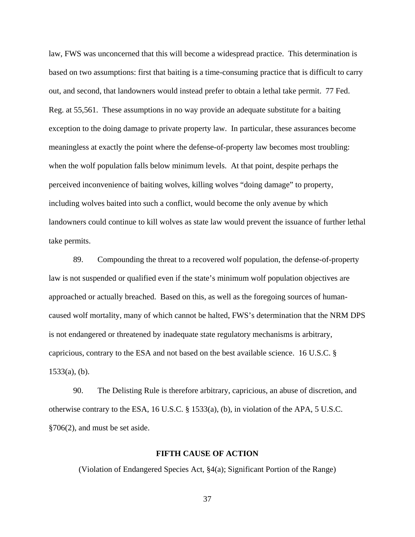law, FWS was unconcerned that this will become a widespread practice. This determination is based on two assumptions: first that baiting is a time-consuming practice that is difficult to carry out, and second, that landowners would instead prefer to obtain a lethal take permit. 77 Fed. Reg. at 55,561. These assumptions in no way provide an adequate substitute for a baiting exception to the doing damage to private property law. In particular, these assurances become meaningless at exactly the point where the defense-of-property law becomes most troubling: when the wolf population falls below minimum levels. At that point, despite perhaps the perceived inconvenience of baiting wolves, killing wolves "doing damage" to property, including wolves baited into such a conflict, would become the only avenue by which landowners could continue to kill wolves as state law would prevent the issuance of further lethal take permits.

89. Compounding the threat to a recovered wolf population, the defense-of-property law is not suspended or qualified even if the state's minimum wolf population objectives are approached or actually breached. Based on this, as well as the foregoing sources of humancaused wolf mortality, many of which cannot be halted, FWS's determination that the NRM DPS is not endangered or threatened by inadequate state regulatory mechanisms is arbitrary, capricious, contrary to the ESA and not based on the best available science. 16 U.S.C. §  $1533(a)$ , (b).

90. The Delisting Rule is therefore arbitrary, capricious, an abuse of discretion, and otherwise contrary to the ESA, 16 U.S.C. § 1533(a), (b), in violation of the APA, 5 U.S.C. §706(2), and must be set aside.

#### **FIFTH CAUSE OF ACTION**

(Violation of Endangered Species Act, §4(a); Significant Portion of the Range)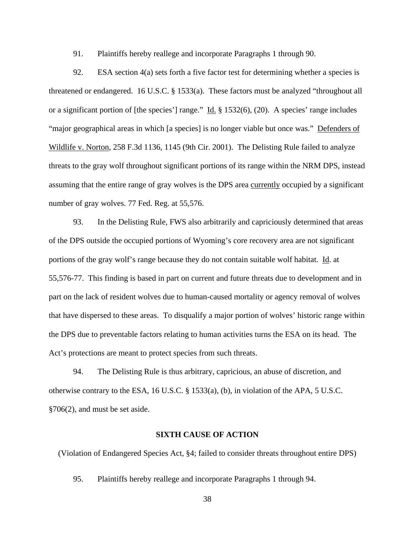91. Plaintiffs hereby reallege and incorporate Paragraphs 1 through 90.

92. ESA section 4(a) sets forth a five factor test for determining whether a species is threatened or endangered. 16 U.S.C. § 1533(a). These factors must be analyzed "throughout all or a significant portion of [the species'] range." Id. § 1532(6), (20). A species' range includes "major geographical areas in which [a species] is no longer viable but once was." Defenders of Wildlife v. Norton, 258 F.3d 1136, 1145 (9th Cir. 2001). The Delisting Rule failed to analyze threats to the gray wolf throughout significant portions of its range within the NRM DPS, instead assuming that the entire range of gray wolves is the DPS area currently occupied by a significant number of gray wolves. 77 Fed. Reg. at 55,576.

93. In the Delisting Rule, FWS also arbitrarily and capriciously determined that areas of the DPS outside the occupied portions of Wyoming's core recovery area are not significant portions of the gray wolf's range because they do not contain suitable wolf habitat. Id. at 55,576-77. This finding is based in part on current and future threats due to development and in part on the lack of resident wolves due to human-caused mortality or agency removal of wolves that have dispersed to these areas. To disqualify a major portion of wolves' historic range within the DPS due to preventable factors relating to human activities turns the ESA on its head. The Act's protections are meant to protect species from such threats.

94. The Delisting Rule is thus arbitrary, capricious, an abuse of discretion, and otherwise contrary to the ESA, 16 U.S.C. § 1533(a), (b), in violation of the APA, 5 U.S.C. §706(2), and must be set aside.

### **SIXTH CAUSE OF ACTION**

(Violation of Endangered Species Act, §4; failed to consider threats throughout entire DPS)

95. Plaintiffs hereby reallege and incorporate Paragraphs 1 through 94.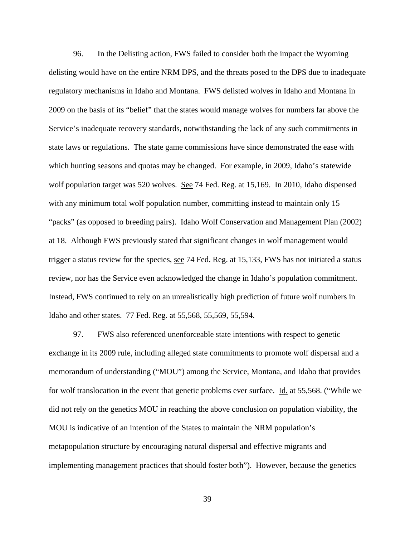96. In the Delisting action, FWS failed to consider both the impact the Wyoming delisting would have on the entire NRM DPS, and the threats posed to the DPS due to inadequate regulatory mechanisms in Idaho and Montana. FWS delisted wolves in Idaho and Montana in 2009 on the basis of its "belief" that the states would manage wolves for numbers far above the Service's inadequate recovery standards, notwithstanding the lack of any such commitments in state laws or regulations. The state game commissions have since demonstrated the ease with which hunting seasons and quotas may be changed. For example, in 2009, Idaho's statewide wolf population target was 520 wolves. See 74 Fed. Reg. at 15,169. In 2010, Idaho dispensed with any minimum total wolf population number, committing instead to maintain only 15 "packs" (as opposed to breeding pairs). Idaho Wolf Conservation and Management Plan (2002) at 18. Although FWS previously stated that significant changes in wolf management would trigger a status review for the species, see 74 Fed. Reg. at 15,133, FWS has not initiated a status review, nor has the Service even acknowledged the change in Idaho's population commitment. Instead, FWS continued to rely on an unrealistically high prediction of future wolf numbers in Idaho and other states. 77 Fed. Reg. at 55,568, 55,569, 55,594.

97. FWS also referenced unenforceable state intentions with respect to genetic exchange in its 2009 rule, including alleged state commitments to promote wolf dispersal and a memorandum of understanding ("MOU") among the Service, Montana, and Idaho that provides for wolf translocation in the event that genetic problems ever surface. Id. at 55,568. ("While we did not rely on the genetics MOU in reaching the above conclusion on population viability, the MOU is indicative of an intention of the States to maintain the NRM population's metapopulation structure by encouraging natural dispersal and effective migrants and implementing management practices that should foster both"). However, because the genetics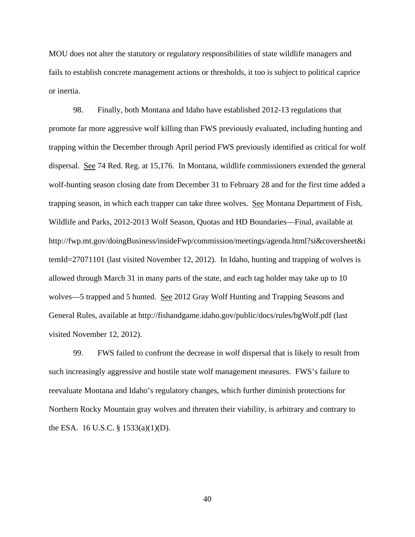MOU does not alter the statutory or regulatory responsibilities of state wildlife managers and fails to establish concrete management actions or thresholds, it too is subject to political caprice or inertia.

98. Finally, both Montana and Idaho have established 2012-13 regulations that promote far more aggressive wolf killing than FWS previously evaluated, including hunting and trapping within the December through April period FWS previously identified as critical for wolf dispersal. See 74 Red. Reg. at 15,176. In Montana, wildlife commissioners extended the general wolf-hunting season closing date from December 31 to February 28 and for the first time added a trapping season, in which each trapper can take three wolves. See Montana Department of Fish, Wildlife and Parks, 2012-2013 Wolf Season, Quotas and HD Boundaries—Final, available at http://fwp.mt.gov/doingBusiness/insideFwp/commission/meetings/agenda.html?si&coversheet&i temId=27071101 (last visited November 12, 2012). In Idaho, hunting and trapping of wolves is allowed through March 31 in many parts of the state, and each tag holder may take up to 10 wolves—5 trapped and 5 hunted. See 2012 Gray Wolf Hunting and Trapping Seasons and General Rules, available at http://fishandgame.idaho.gov/public/docs/rules/bgWolf.pdf (last visited November 12, 2012).

99. FWS failed to confront the decrease in wolf dispersal that is likely to result from such increasingly aggressive and hostile state wolf management measures. FWS's failure to reevaluate Montana and Idaho's regulatory changes, which further diminish protections for Northern Rocky Mountain gray wolves and threaten their viability, is arbitrary and contrary to the ESA. 16 U.S.C. § 1533(a)(1)(D).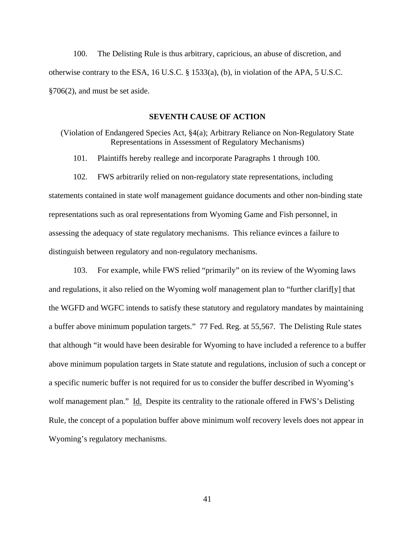100. The Delisting Rule is thus arbitrary, capricious, an abuse of discretion, and otherwise contrary to the ESA, 16 U.S.C. § 1533(a), (b), in violation of the APA, 5 U.S.C. §706(2), and must be set aside.

#### **SEVENTH CAUSE OF ACTION**

(Violation of Endangered Species Act, §4(a); Arbitrary Reliance on Non-Regulatory State Representations in Assessment of Regulatory Mechanisms)

101. Plaintiffs hereby reallege and incorporate Paragraphs 1 through 100.

102. FWS arbitrarily relied on non-regulatory state representations, including statements contained in state wolf management guidance documents and other non-binding state representations such as oral representations from Wyoming Game and Fish personnel, in assessing the adequacy of state regulatory mechanisms. This reliance evinces a failure to distinguish between regulatory and non-regulatory mechanisms.

103. For example, while FWS relied "primarily" on its review of the Wyoming laws and regulations, it also relied on the Wyoming wolf management plan to "further clarif[y] that the WGFD and WGFC intends to satisfy these statutory and regulatory mandates by maintaining a buffer above minimum population targets." 77 Fed. Reg. at 55,567. The Delisting Rule states that although "it would have been desirable for Wyoming to have included a reference to a buffer above minimum population targets in State statute and regulations, inclusion of such a concept or a specific numeric buffer is not required for us to consider the buffer described in Wyoming's wolf management plan." Id. Despite its centrality to the rationale offered in FWS's Delisting Rule, the concept of a population buffer above minimum wolf recovery levels does not appear in Wyoming's regulatory mechanisms.